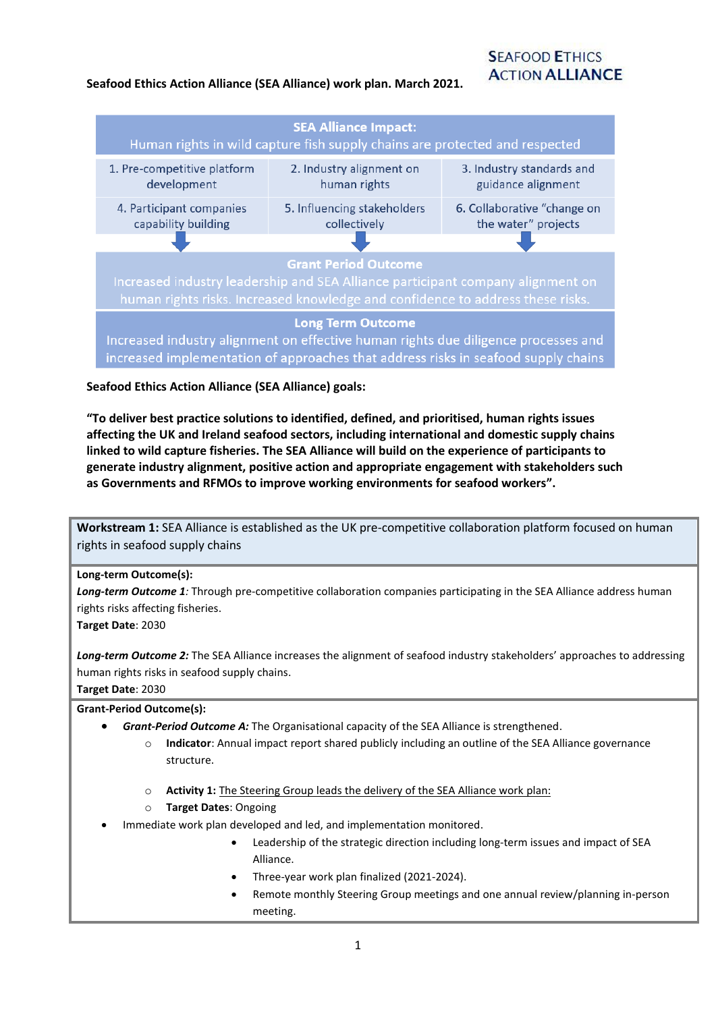### **SEA Alliance Impact:** Human rights in wild capture fish supply chains are protected and respected 1. Pre-competitive platform 2. Industry alignment on 3. Industry standards and development human rights guidance alignment 5. Influencing stakeholders 6. Collaborative "change on 4. Participant companies capability building collectively the water" projects **Grant Period Outcome Long Term Outcome** Increased industry alignment on effective human rights due diligence processes and increased implementation of approaches that address risks in seafood supply chains

## **Seafood Ethics Action Alliance (SEA Alliance) goals:**

**"To deliver best practice solutions to identified, defined, and prioritised, human rights issues affecting the UK and Ireland seafood sectors, including international and domestic supply chains linked to wild capture fisheries. The SEA Alliance will build on the experience of participants to generate industry alignment, positive action and appropriate engagement with stakeholders such as Governments and RFMOs to improve working environments for seafood workers".**

**Workstream 1:** SEA Alliance is established as the UK pre-competitive collaboration platform focused on human rights in seafood supply chains

#### **Long-term Outcome(s):**

*Long-term Outcome 1:* Through pre-competitive collaboration companies participating in the SEA Alliance address human rights risks affecting fisheries.

**Target Date**: 2030

*Long-term Outcome 2:* The SEA Alliance increases the alignment of seafood industry stakeholders' approaches to addressing human rights risks in seafood supply chains.

**Target Date**: 2030

# **Grant-Period Outcome(s):**

- *Grant-Period Outcome A:* The Organisational capacity of the SEA Alliance is strengthened.
	- o **Indicator**: Annual impact report shared publicly including an outline of the SEA Alliance governance structure.
	- o **Activity 1:** The Steering Group leads the delivery of the SEA Alliance work plan:
	- o **Target Dates**: Ongoing
- Immediate work plan developed and led, and implementation monitored.
	- Leadership of the strategic direction including long-term issues and impact of SEA Alliance.
	- Three-year work plan finalized (2021-2024).
	- Remote monthly Steering Group meetings and one annual review/planning in-person meeting.

# **SEAFOOD ETHICS ACTION ALLIANCE**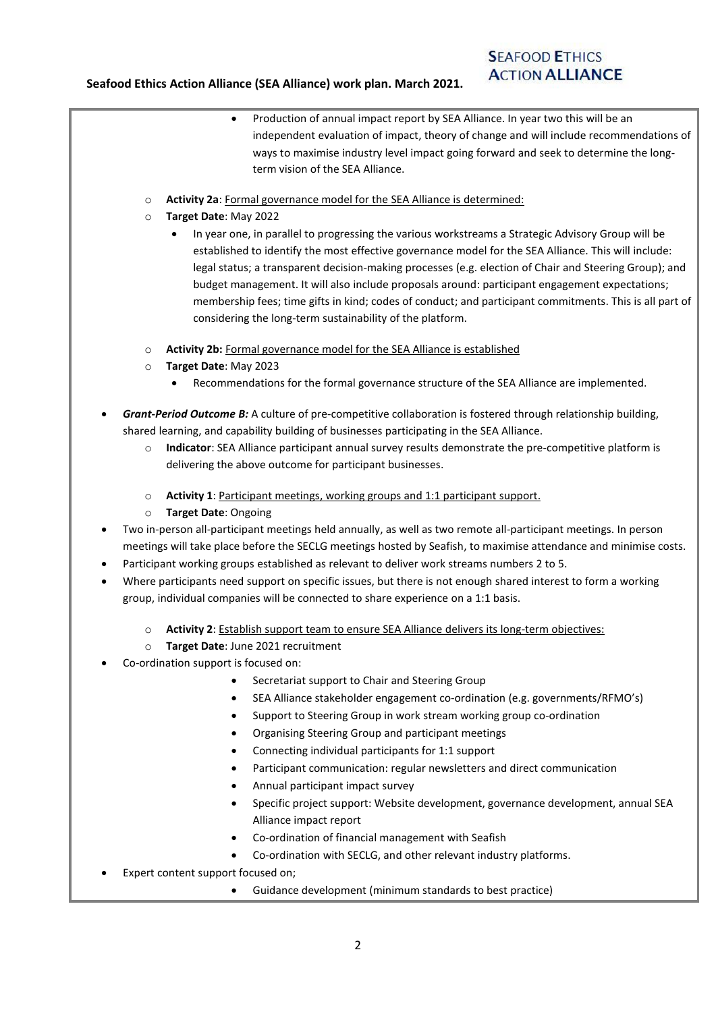- Production of annual impact report by SEA Alliance. In year two this will be an independent evaluation of impact, theory of change and will include recommendations of ways to maximise industry level impact going forward and seek to determine the longterm vision of the SEA Alliance.
- o **Activity 2a**: Formal governance model for the SEA Alliance is determined:
- o **Target Date**: May 2022
	- In year one, in parallel to progressing the various workstreams a Strategic Advisory Group will be established to identify the most effective governance model for the SEA Alliance. This will include: legal status; a transparent decision-making processes (e.g. election of Chair and Steering Group); and budget management. It will also include proposals around: participant engagement expectations; membership fees; time gifts in kind; codes of conduct; and participant commitments. This is all part of considering the long-term sustainability of the platform.
- o **Activity 2b:** Formal governance model for the SEA Alliance is established
- o **Target Date**: May 2023
	- Recommendations for the formal governance structure of the SEA Alliance are implemented.
- *Grant-Period Outcome B:* A culture of pre-competitive collaboration is fostered through relationship building, shared learning, and capability building of businesses participating in the SEA Alliance.
	- o **Indicator**: SEA Alliance participant annual survey results demonstrate the pre-competitive platform is delivering the above outcome for participant businesses.
	- o **Activity 1**: Participant meetings, working groups and 1:1 participant support.
	- o **Target Date**: Ongoing
- Two in-person all-participant meetings held annually, as well as two remote all-participant meetings. In person meetings will take place before the SECLG meetings hosted by Seafish, to maximise attendance and minimise costs.
- Participant working groups established as relevant to deliver work streams numbers 2 to 5.
- Where participants need support on specific issues, but there is not enough shared interest to form a working group, individual companies will be connected to share experience on a 1:1 basis.
	- o **Activity 2**: Establish support team to ensure SEA Alliance delivers its long-term objectives:
	- o **Target Date**: June 2021 recruitment
- Co-ordination support is focused on:
	- Secretariat support to Chair and Steering Group
	- SEA Alliance stakeholder engagement co-ordination (e.g. governments/RFMO's)
	- Support to Steering Group in work stream working group co-ordination
	- Organising Steering Group and participant meetings
	- Connecting individual participants for 1:1 support
	- Participant communication: regular newsletters and direct communication
	- Annual participant impact survey
	- Specific project support: Website development, governance development, annual SEA Alliance impact report
	- Co-ordination of financial management with Seafish
	- Co-ordination with SECLG, and other relevant industry platforms.
- Expert content support focused on;
	- Guidance development (minimum standards to best practice)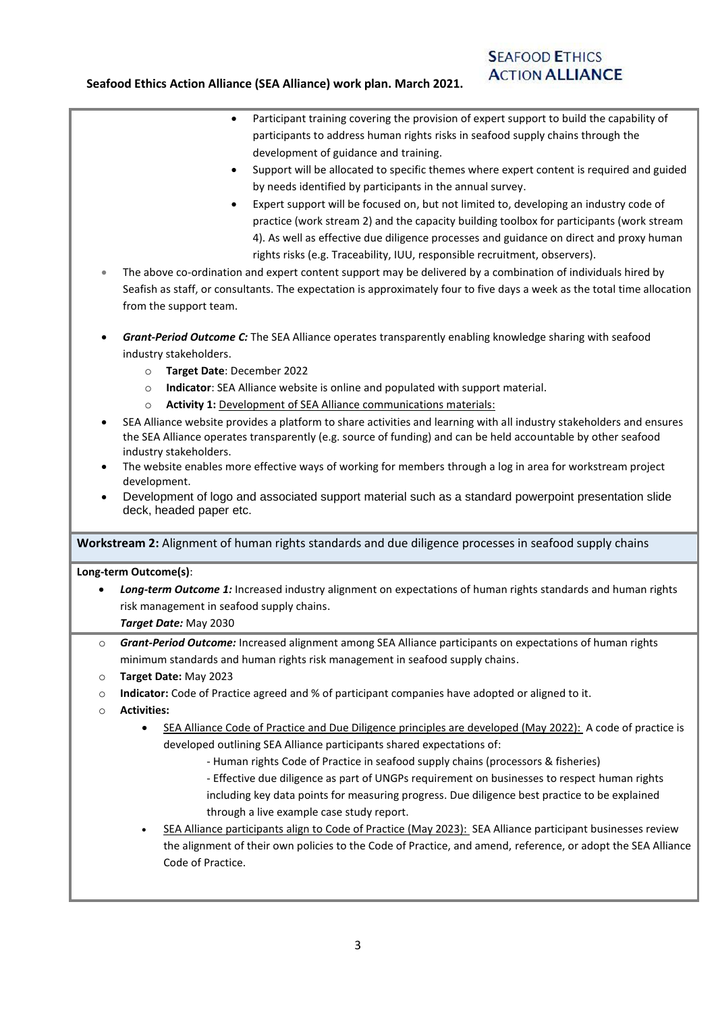- Participant training covering the provision of expert support to build the capability of participants to address human rights risks in seafood supply chains through the development of guidance and training.
- Support will be allocated to specific themes where expert content is required and guided by needs identified by participants in the annual survey.
- Expert support will be focused on, but not limited to, developing an industry code of practice (work stream 2) and the capacity building toolbox for participants (work stream 4). As well as effective due diligence processes and guidance on direct and proxy human rights risks (e.g. Traceability, IUU, responsible recruitment, observers).
- The above co-ordination and expert content support may be delivered by a combination of individuals hired by Seafish as staff, or consultants. The expectation is approximately four to five days a week as the total time allocation from the support team.
- *Grant-Period Outcome C:* The SEA Alliance operates transparently enabling knowledge sharing with seafood industry stakeholders.
	- o **Target Date**: December 2022
	- o **Indicator**: SEA Alliance website is online and populated with support material.
	- o **Activity 1:** Development of SEA Alliance communications materials:
- SEA Alliance website provides a platform to share activities and learning with all industry stakeholders and ensures the SEA Alliance operates transparently (e.g. source of funding) and can be held accountable by other seafood industry stakeholders.
- The website enables more effective ways of working for members through a log in area for workstream project development.
- Development of logo and associated support material such as a standard powerpoint presentation slide deck, headed paper etc.

**Workstream 2:** Alignment of human rights standards and due diligence processes in seafood supply chains

## **Long-term Outcome(s)**:

- *Long-term Outcome 1:* Increased industry alignment on expectations of human rights standards and human rights risk management in seafood supply chains.
	- *Target Date:* May 2030
- Grant-Period Outcome: Increased alignment among SEA Alliance participants on expectations of human rights minimum standards and human rights risk management in seafood supply chains.
- o **Target Date:** May 2023
- o **Indicator:** Code of Practice agreed and % of participant companies have adopted or aligned to it.
- o **Activities:**
	- SEA Alliance Code of Practice and Due Diligence principles are developed (May 2022): A code of practice is developed outlining SEA Alliance participants shared expectations of:
		- Human rights Code of Practice in seafood supply chains (processors & fisheries)
		- Effective due diligence as part of UNGPs requirement on businesses to respect human rights including key data points for measuring progress. Due diligence best practice to be explained through a live example case study report.
	- SEA Alliance participants align to Code of Practice (May 2023): SEA Alliance participant businesses review the alignment of their own policies to the Code of Practice, and amend, reference, or adopt the SEA Alliance Code of Practice.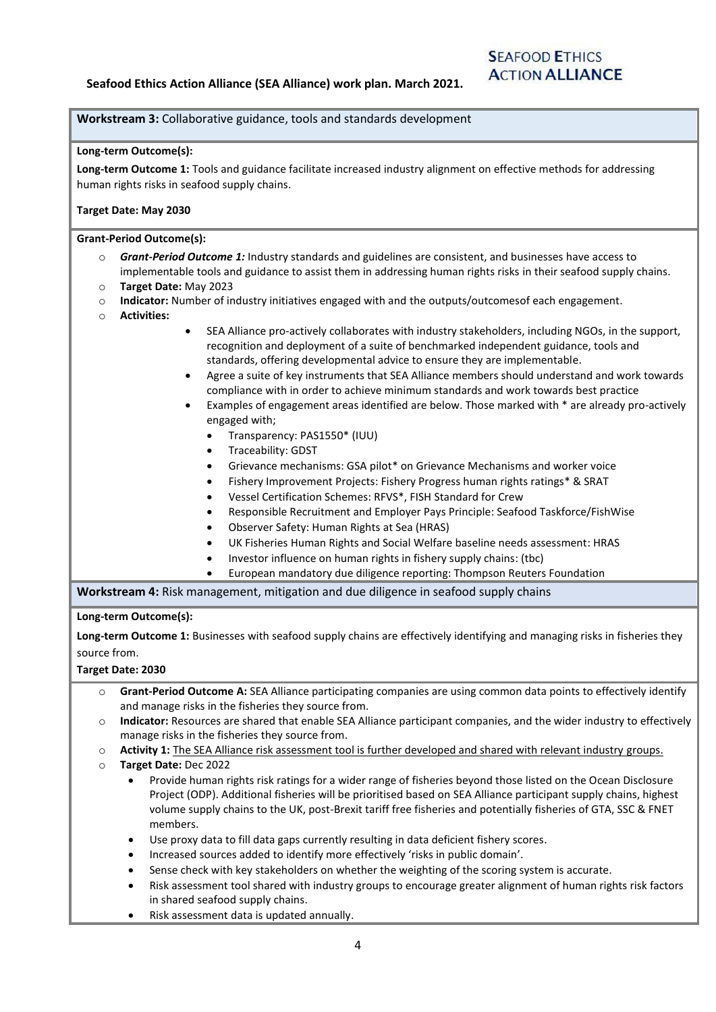# **SEAFOOD ETHICS ACTION ALLIANCE**

### **Workstream 3:** Collaborative guidance, tools and standards development

#### **Long-term Outcome(s):**

**Long-term Outcome 1:** Tools and guidance facilitate increased industry alignment on effective methods for addressing human rights risks in seafood supply chains.

### **Target Date: May 2030**

#### **Grant-Period Outcome(s):**

- o *Grant-Period Outcome 1:* Industry standards and guidelines are consistent, and businesses have access to implementable tools and guidance to assist them in addressing human rights risks in their seafood supply chains.
- o **Target Date:** May 2023
- o **Indicator:** Number of industry initiatives engaged with and the outputs/outcomesof each engagement.
- o **Activities:**
- SEA Alliance pro-actively collaborates with industry stakeholders, including NGOs, in the support, recognition and deployment of a suite of benchmarked independent guidance, tools and standards, offering developmental advice to ensure they are implementable.
- Agree a suite of key instruments that SEA Alliance members should understand and work towards compliance with in order to achieve minimum standards and work towards best practice
- Examples of engagement areas identified are below. Those marked with \* are already pro-actively engaged with;
	- Transparency: PAS1550\* (IUU)
	- Traceability: GDST
	- Grievance mechanisms: GSA pilot\* on Grievance Mechanisms and worker voice
	- Fishery Improvement Projects: Fishery Progress human rights ratings\* & SRAT
	- Vessel Certification Schemes: RFVS\*, FISH Standard for Crew
	- Responsible Recruitment and Employer Pays Principle: Seafood Taskforce/FishWise
	- Observer Safety: Human Rights at Sea (HRAS)
	- UK Fisheries Human Rights and Social Welfare baseline needs assessment: HRAS
	- Investor influence on human rights in fishery supply chains: (tbc)
	- European mandatory due diligence reporting: Thompson Reuters Foundation

**Workstream 4:** Risk management, mitigation and due diligence in seafood supply chains

#### **Long-term Outcome(s):**

**Long-term Outcome 1:** Businesses with seafood supply chains are effectively identifying and managing risks in fisheries they source from.

#### **Target Date: 2030**

- o **Grant-Period Outcome A:** SEA Alliance participating companies are using common data points to effectively identify and manage risks in the fisheries they source from.
- o **Indicator:** Resources are shared that enable SEA Alliance participant companies, and the wider industry to effectively manage risks in the fisheries they source from.
- o **Activity 1:** The SEA Alliance risk assessment tool is further developed and shared with relevant industry groups.
- o **Target Date:** Dec 2022
	- Provide human rights risk ratings for a wider range of fisheries beyond those listed on the Ocean Disclosure Project (ODP). Additional fisheries will be prioritised based on SEA Alliance participant supply chains, highest volume supply chains to the UK, post-Brexit tariff free fisheries and potentially fisheries of GTA, SSC & FNET members.
	- Use proxy data to fill data gaps currently resulting in data deficient fishery scores.
	- Increased sources added to identify more effectively 'risks in public domain'.
	- Sense check with key stakeholders on whether the weighting of the scoring system is accurate.
	- Risk assessment tool shared with industry groups to encourage greater alignment of human rights risk factors in shared seafood supply chains.
	- Risk assessment data is updated annually.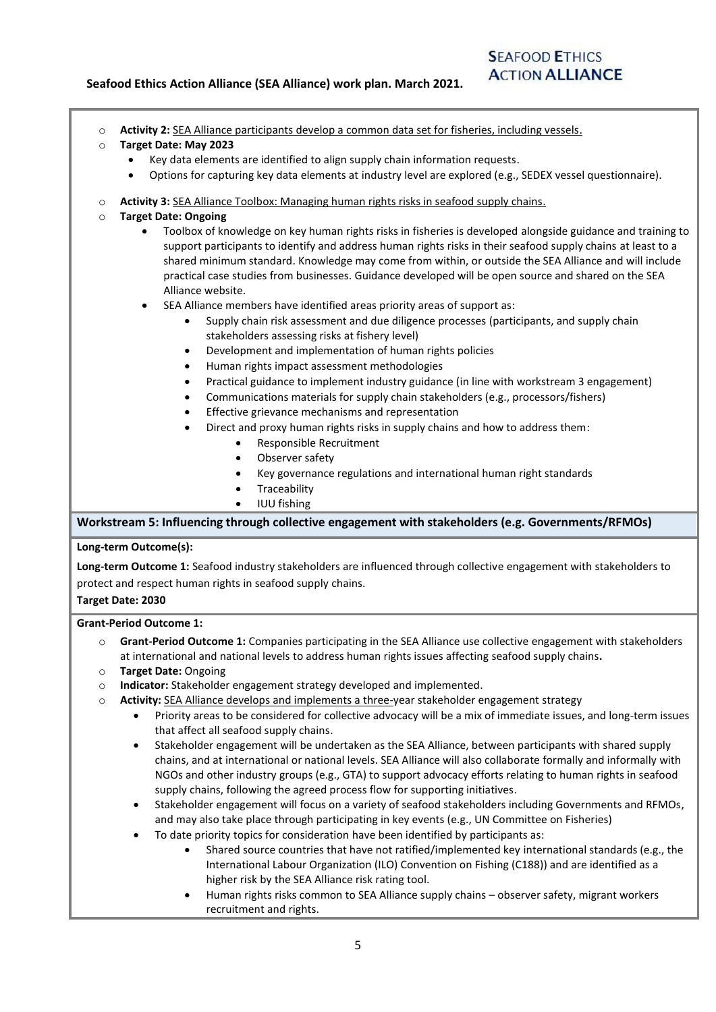# **SEAFOOD ETHICS ACTION ALLIANCE**

| Activity 2: SEA Alliance participants develop a common data set for fisheries, including vessels. |
|---------------------------------------------------------------------------------------------------|
|---------------------------------------------------------------------------------------------------|

- o **Target Date: May 2023**
	- Key data elements are identified to align supply chain information requests.
		- Options for capturing key data elements at industry level are explored (e.g., SEDEX vessel questionnaire).
- o **Activity 3:** SEA Alliance Toolbox: Managing human rights risks in seafood supply chains.
- o **Target Date: Ongoing**
	- Toolbox of knowledge on key human rights risks in fisheries is developed alongside guidance and training to support participants to identify and address human rights risks in their seafood supply chains at least to a shared minimum standard. Knowledge may come from within, or outside the SEA Alliance and will include practical case studies from businesses. Guidance developed will be open source and shared on the SEA Alliance website.
	- SEA Alliance members have identified areas priority areas of support as:
		- Supply chain risk assessment and due diligence processes (participants, and supply chain stakeholders assessing risks at fishery level)
		- Development and implementation of human rights policies
		- Human rights impact assessment methodologies
		- Practical guidance to implement industry guidance (in line with workstream 3 engagement)
		- Communications materials for supply chain stakeholders (e.g., processors/fishers)
		- Effective grievance mechanisms and representation
		- Direct and proxy human rights risks in supply chains and how to address them:
			- Responsible Recruitment
				- Observer safety
			- Key governance regulations and international human right standards
			- **Traceability**
			- IUU fishing

**Workstream 5: Influencing through collective engagement with stakeholders (e.g. Governments/RFMOs)**

#### **Long-term Outcome(s):**

**Long-term Outcome 1:** Seafood industry stakeholders are influenced through collective engagement with stakeholders to protect and respect human rights in seafood supply chains.

**Target Date: 2030**

#### **Grant-Period Outcome 1:**

- o **Grant-Period Outcome 1:** Companies participating in the SEA Alliance use collective engagement with stakeholders at international and national levels to address human rights issues affecting seafood supply chains**.**
- o **Target Date:** Ongoing
- o **Indicator:** Stakeholder engagement strategy developed and implemented.
- Activity: SEA Alliance develops and implements a three-year stakeholder engagement strategy
	- Priority areas to be considered for collective advocacy will be a mix of immediate issues, and long-term issues that affect all seafood supply chains.
	- Stakeholder engagement will be undertaken as the SEA Alliance, between participants with shared supply chains, and at international or national levels. SEA Alliance will also collaborate formally and informally with NGOs and other industry groups (e.g., GTA) to support advocacy efforts relating to human rights in seafood supply chains, following the agreed process flow for supporting initiatives.
	- Stakeholder engagement will focus on a variety of seafood stakeholders including Governments and RFMOs, and may also take place through participating in key events (e.g., UN Committee on Fisheries)
	- To date priority topics for consideration have been identified by participants as:
		- Shared source countries that have not ratified/implemented key international standards (e.g., the International Labour Organization (ILO) Convention on Fishing (C188)) and are identified as a higher risk by the SEA Alliance risk rating tool.
		- Human rights risks common to SEA Alliance supply chains observer safety, migrant workers recruitment and rights.